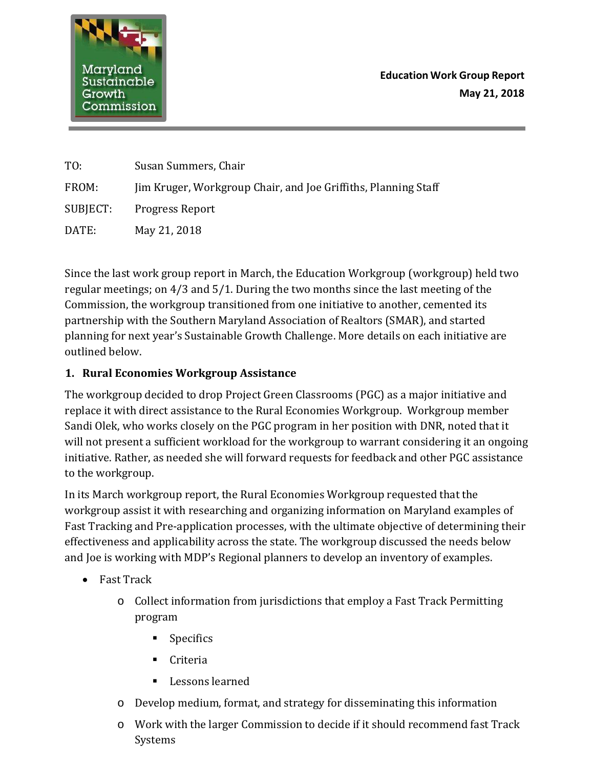

**Education Work Group Report May 21, 2018**

| TO:      | Susan Summers, Chair                                           |
|----------|----------------------------------------------------------------|
| FROM:    | Jim Kruger, Workgroup Chair, and Joe Griffiths, Planning Staff |
| SUBJECT: | <b>Progress Report</b>                                         |
| DATE:    | May 21, 2018                                                   |

Since the last work group report in March, the Education Workgroup (workgroup) held two regular meetings; on 4/3 and 5/1. During the two months since the last meeting of the Commission, the workgroup transitioned from one initiative to another, cemented its partnership with the Southern Maryland Association of Realtors (SMAR), and started planning for next year's Sustainable Growth Challenge. More details on each initiative are outlined below.

## **1. Rural Economies Workgroup Assistance**

The workgroup decided to drop Project Green Classrooms (PGC) as a major initiative and replace it with direct assistance to the Rural Economies Workgroup. Workgroup member Sandi Olek, who works closely on the PGC program in her position with DNR, noted that it will not present a sufficient workload for the workgroup to warrant considering it an ongoing initiative. Rather, as needed she will forward requests for feedback and other PGC assistance to the workgroup.

In its March workgroup report, the Rural Economies Workgroup requested that the workgroup assist it with researching and organizing information on Maryland examples of Fast Tracking and Pre-application processes, with the ultimate objective of determining their effectiveness and applicability across the state. The workgroup discussed the needs below and Joe is working with MDP's Regional planners to develop an inventory of examples.

- Fast Track
	- o Collect information from jurisdictions that employ a Fast Track Permitting program
		- **Specifics**
		- Criteria
		- **Lessons learned**
	- o Develop medium, format, and strategy for disseminating this information
	- o Work with the larger Commission to decide if it should recommend fast Track Systems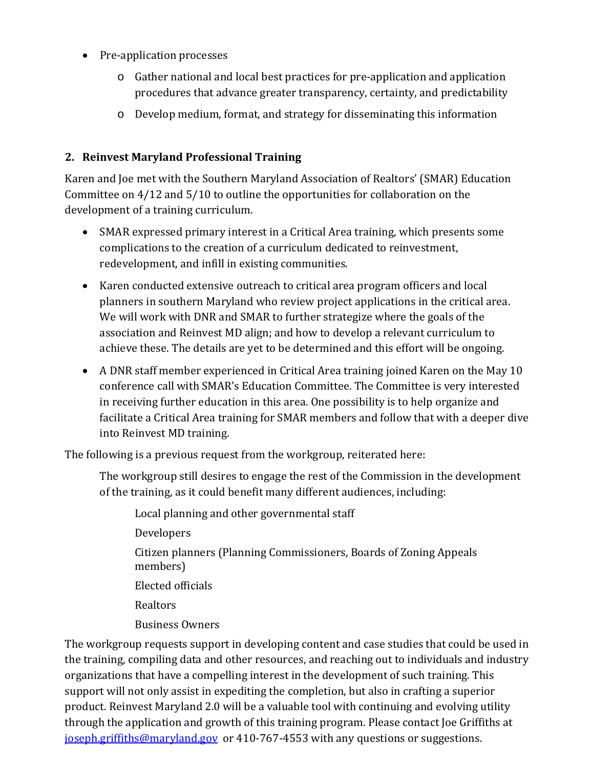- Pre-application processes
	- o Gather national and local best practices for pre-application and application procedures that advance greater transparency, certainty, and predictability
	- o Develop medium, format, and strategy for disseminating this information

## **2. Reinvest Maryland Professional Training**

Karen and Joe met with the Southern Maryland Association of Realtors' (SMAR) Education Committee on 4/12 and 5/10 to outline the opportunities for collaboration on the development of a training curriculum.

- SMAR expressed primary interest in a Critical Area training, which presents some complications to the creation of a curriculum dedicated to reinvestment, redevelopment, and infill in existing communities.
- Karen conducted extensive outreach to critical area program officers and local planners in southern Maryland who review project applications in the critical area. We will work with DNR and SMAR to further strategize where the goals of the association and Reinvest MD align; and how to develop a relevant curriculum to achieve these. The details are yet to be determined and this effort will be ongoing.
- A DNR staff member experienced in Critical Area training joined Karen on the May 10 conference call with SMAR's Education Committee. The Committee is very interested in receiving further education in this area. One possibility is to help organize and facilitate a Critical Area training for SMAR members and follow that with a deeper dive into Reinvest MD training.

The following is a previous request from the workgroup, reiterated here:

The workgroup still desires to engage the rest of the Commission in the development of the training, as it could benefit many different audiences, including:

Local planning and other governmental staff Developers Citizen planners (Planning Commissioners, Boards of Zoning Appeals members) Elected officials Realtors Business Owners

The workgroup requests support in developing content and case studies that could be used in the training, compiling data and other resources, and reaching out to individuals and industry organizations that have a compelling interest in the development of such training. This support will not only assist in expediting the completion, but also in crafting a superior product. Reinvest Maryland 2.0 will be a valuable tool with continuing and evolving utility through the application and growth of this training program. Please contact Joe Griffiths at [joseph.griffiths@maryland.gov](mailto:joseph.griffiths@maryland.gov) or 410-767-4553 with any questions or suggestions.